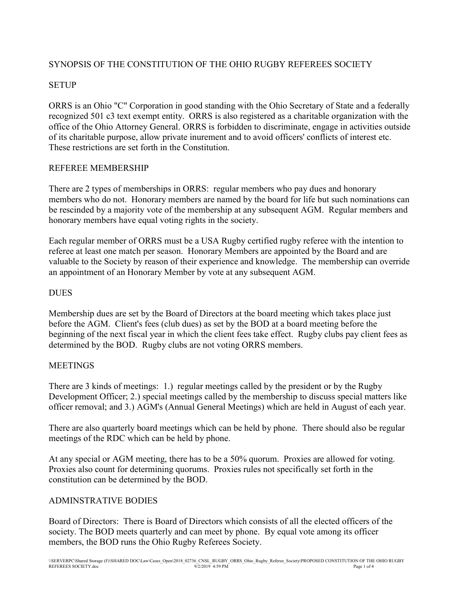# SYNOPSIS OF THE CONSTITUTION OF THE OHIO RUGBY REFEREES SOCIETY

## **SETUP**

ORRS is an Ohio "C" Corporation in good standing with the Ohio Secretary of State and a federally recognized 501 c3 text exempt entity. ORRS is also registered as a charitable organization with the office of the Ohio Attorney General. ORRS is forbidden to discriminate, engage in activities outside of its charitable purpose, allow private inurement and to avoid officers' conflicts of interest etc. These restrictions are set forth in the Constitution.

### REFEREE MEMBERSHIP

There are 2 types of memberships in ORRS: regular members who pay dues and honorary members who do not. Honorary members are named by the board for life but such nominations can be rescinded by a majority vote of the membership at any subsequent AGM. Regular members and honorary members have equal voting rights in the society.

Each regular member of ORRS must be a USA Rugby certified rugby referee with the intention to referee at least one match per season. Honorary Members are appointed by the Board and are valuable to the Society by reason of their experience and knowledge. The membership can override an appointment of an Honorary Member by vote at any subsequent AGM.

#### **DUES**

Membership dues are set by the Board of Directors at the board meeting which takes place just before the AGM. Client's fees (club dues) as set by the BOD at a board meeting before the beginning of the next fiscal year in which the client fees take effect. Rugby clubs pay client fees as determined by the BOD. Rugby clubs are not voting ORRS members.

#### **MEETINGS**

There are 3 kinds of meetings: 1.) regular meetings called by the president or by the Rugby Development Officer; 2.) special meetings called by the membership to discuss special matters like officer removal; and 3.) AGM's (Annual General Meetings) which are held in August of each year.

There are also quarterly board meetings which can be held by phone. There should also be regular meetings of the RDC which can be held by phone.

At any special or AGM meeting, there has to be a 50% quorum. Proxies are allowed for voting. Proxies also count for determining quorums. Proxies rules not specifically set forth in the constitution can be determined by the BOD.

## ADMINSTRATIVE BODIES

Board of Directors: There is Board of Directors which consists of all the elected officers of the society. The BOD meets quarterly and can meet by phone. By equal vote among its officer members, the BOD runs the Ohio Rugby Referees Society.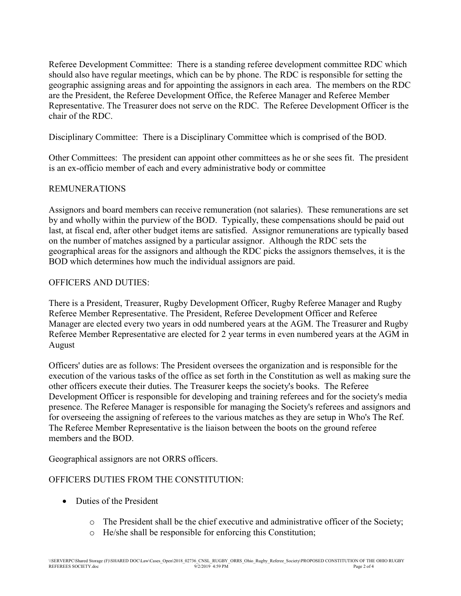Referee Development Committee: There is a standing referee development committee RDC which should also have regular meetings, which can be by phone. The RDC is responsible for setting the geographic assigning areas and for appointing the assignors in each area. The members on the RDC are the President, the Referee Development Office, the Referee Manager and Referee Member Representative. The Treasurer does not serve on the RDC. The Referee Development Officer is the chair of the RDC.

Disciplinary Committee: There is a Disciplinary Committee which is comprised of the BOD.

Other Committees: The president can appoint other committees as he or she sees fit. The president is an ex-officio member of each and every administrative body or committee

## REMUNERATIONS

Assignors and board members can receive remuneration (not salaries). These remunerations are set by and wholly within the purview of the BOD. Typically, these compensations should be paid out last, at fiscal end, after other budget items are satisfied. Assignor remunerations are typically based on the number of matches assigned by a particular assignor. Although the RDC sets the geographical areas for the assignors and although the RDC picks the assignors themselves, it is the BOD which determines how much the individual assignors are paid.

#### OFFICERS AND DUTIES:

There is a President, Treasurer, Rugby Development Officer, Rugby Referee Manager and Rugby Referee Member Representative. The President, Referee Development Officer and Referee Manager are elected every two years in odd numbered years at the AGM. The Treasurer and Rugby Referee Member Representative are elected for 2 year terms in even numbered years at the AGM in August

Officers' duties are as follows: The President oversees the organization and is responsible for the execution of the various tasks of the office as set forth in the Constitution as well as making sure the other officers execute their duties. The Treasurer keeps the society's books. The Referee Development Officer is responsible for developing and training referees and for the society's media presence. The Referee Manager is responsible for managing the Society's referees and assignors and for overseeing the assigning of referees to the various matches as they are setup in Who's The Ref. The Referee Member Representative is the liaison between the boots on the ground referee members and the BOD.

Geographical assignors are not ORRS officers.

## OFFICERS DUTIES FROM THE CONSTITUTION:

- Duties of the President
	- o The President shall be the chief executive and administrative officer of the Society;
	- o He/she shall be responsible for enforcing this Constitution;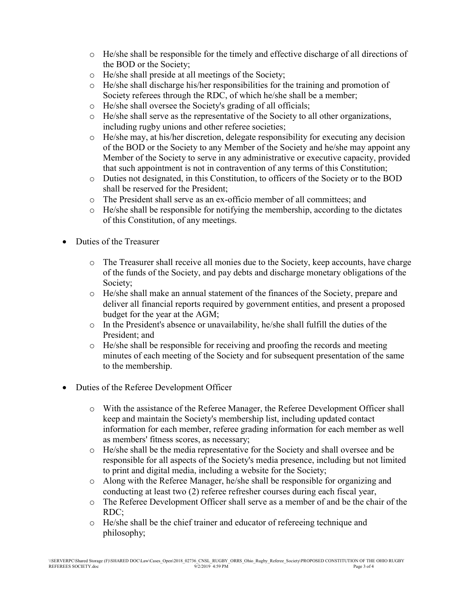- o He/she shall be responsible for the timely and effective discharge of all directions of the BOD or the Society;
- o He/she shall preside at all meetings of the Society;
- o He/she shall discharge his/her responsibilities for the training and promotion of Society referees through the RDC, of which he/she shall be a member;
- o He/she shall oversee the Society's grading of all officials;
- o He/she shall serve as the representative of the Society to all other organizations, including rugby unions and other referee societies;
- o He/she may, at his/her discretion, delegate responsibility for executing any decision of the BOD or the Society to any Member of the Society and he/she may appoint any Member of the Society to serve in any administrative or executive capacity, provided that such appointment is not in contravention of any terms of this Constitution;
- o Duties not designated, in this Constitution, to officers of the Society or to the BOD shall be reserved for the President;
- o The President shall serve as an ex-officio member of all committees; and
- $\circ$  He/she shall be responsible for notifying the membership, according to the dictates of this Constitution, of any meetings.
- Duties of the Treasurer
	- o The Treasurer shall receive all monies due to the Society, keep accounts, have charge of the funds of the Society, and pay debts and discharge monetary obligations of the Society;
	- o He/she shall make an annual statement of the finances of the Society, prepare and deliver all financial reports required by government entities, and present a proposed budget for the year at the AGM;
	- $\circ$  In the President's absence or unavailability, he/she shall fulfill the duties of the President; and
	- o He/she shall be responsible for receiving and proofing the records and meeting minutes of each meeting of the Society and for subsequent presentation of the same to the membership.
- Duties of the Referee Development Officer
	- o With the assistance of the Referee Manager, the Referee Development Officer shall keep and maintain the Society's membership list, including updated contact information for each member, referee grading information for each member as well as members' fitness scores, as necessary;
	- o He/she shall be the media representative for the Society and shall oversee and be responsible for all aspects of the Society's media presence, including but not limited to print and digital media, including a website for the Society;
	- o Along with the Referee Manager, he/she shall be responsible for organizing and conducting at least two (2) referee refresher courses during each fiscal year,
	- o The Referee Development Officer shall serve as a member of and be the chair of the RDC;
	- o He/she shall be the chief trainer and educator of refereeing technique and philosophy;